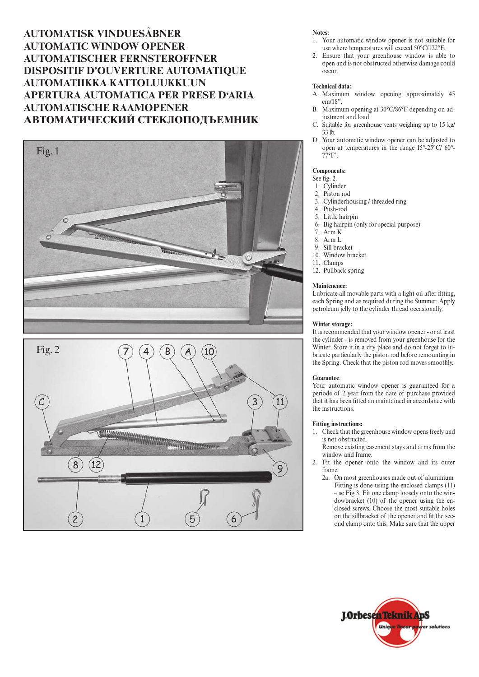**AUTOMATISK VINDUESÅBNER AUTOMATIC WINDOW OPENER AUTOMATISCHER FERNSTEROFFNER DISPOSITIF D'OUVERTURE AUTOMATIQUE AUTOMATIIKKA KATTOLUUKKUUN APERTURA AUTOMATICA PER PRESE D'ARIA AUTOMATISCHE RAAMOPENER АВТОМАТИЧЕСКИЙ СТЕКЛОПОДЪЕМНИК** 





### **Notes:**

- 1. Your automatic window opener is not suitable for use where temperatures will exceed 50°C/122°F.
- 2. Ensure that your greenhouse window is able to open and is not obstructed otherwise damage could occur.

### **Technical data:**

- A. Maximum window opening approximately 45 cm/18".
- B. Maximum opening at 30°C/86°F depending on adjustment and load.
- C. Suitable for greenhouse vents weighing up to 15 kg/ 33 lb.
- D. Your automatic window opener can be adjusted to open at temperatures in the range I5°-25°C/ 60°-  $77^{\circ}F'$ .

## **Components:**

## See fig. 2.

- 1. Cylinder
- 2. Piston rod
- 3. Cylinderhousing / threaded ring
- 4. Push-rod Little hairpin
- 6. Big hairpin (only for special purpose)
	-
- 7. Arm K 8. Arm L
- 9. Sill bracket
- 10. Window bracket
- 11. Clamps
- 12. Pullback spring

#### **Maintenence:**

Lubricate all movable parts with a light oil after fitting, each Spring and as required during the Summer. Apply petroleum jelly to the cylinder thread occasionally.

#### **Winter storage:**

It is recommended that your window opener - or at least the cylinder - is removed from your greenhouse for the Winter. Store it in a dry place and do not forget to lubricate particularly the piston rod before remounting in the Spring. Check that the piston rod moves smoothly.

#### **Guarantee**:

Your automatic window opener is guaranteed for a periode of 2 year from the date of purchase provided that it has been fitted an maintained in accordance with the instructions.

#### **Fitting instructions:**

- 1. Check that the greenhouse window opens freely and is not obstructed.
	- Remove existing casement stays and arms from the window and frame.
- 2. Fit the opener onto the window and its outer frame.
	- 2a. On most greenhouses made out of aluminium Fitting is done using the enclosed clamps (11) – se Fig.3. Fit one clamp loosely onto the windowbracket (10) of the opener using the enclosed screws. Choose the most suitable holes on the sillbracket of the opener and fit the second clamp onto this. Make sure that the upper